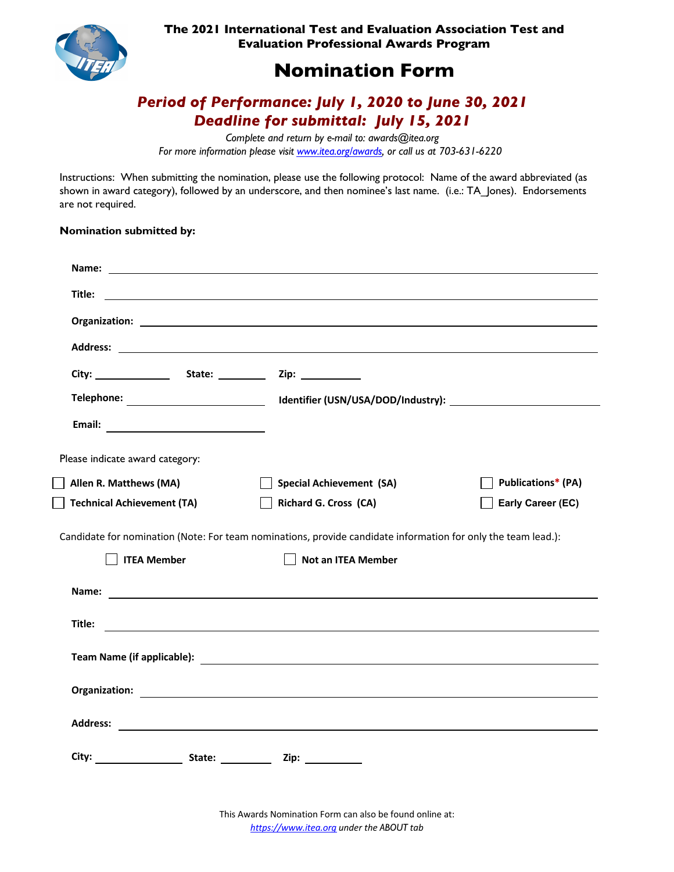

**The 2021 International Test and Evaluation Association Test and Evaluation Professional Awards Program** 

# **Nomination Form**

## *Period of Performance: July 1, 2020 to June 30, 2021 Deadline for submittal: July 15, 2021*

*Complete and return by e-mail to: awards@itea.org For more information please visit www.itea.org/awards, or call us at 703-631-6220*

Instructions: When submitting the nomination, please use the following protocol: Name of the award abbreviated (as shown in award category), followed by an underscore, and then nominee's last name. (i.e.: TA Jones). Endorsements are not required.

#### **Nomination submitted by:**

| Title:                            | <u> 2000 - Jan James Alexander (f. 1952)</u>                                                                                                                                                                                   |                           |
|-----------------------------------|--------------------------------------------------------------------------------------------------------------------------------------------------------------------------------------------------------------------------------|---------------------------|
|                                   |                                                                                                                                                                                                                                |                           |
|                                   |                                                                                                                                                                                                                                |                           |
|                                   |                                                                                                                                                                                                                                |                           |
|                                   |                                                                                                                                                                                                                                |                           |
|                                   |                                                                                                                                                                                                                                |                           |
| Please indicate award category:   |                                                                                                                                                                                                                                |                           |
| Allen R. Matthews (MA)            | <b>Special Achievement (SA)</b>                                                                                                                                                                                                | <b>Publications* (PA)</b> |
| <b>Technical Achievement (TA)</b> | <b>Richard G. Cross (CA)</b>                                                                                                                                                                                                   | Early Career (EC)         |
|                                   | Candidate for nomination (Note: For team nominations, provide candidate information for only the team lead.):                                                                                                                  |                           |
| <b>ITEA Member</b>                | <b>Not an ITEA Member</b>                                                                                                                                                                                                      |                           |
|                                   | Name: We have a state of the state of the state of the state of the state of the state of the state of the state of the state of the state of the state of the state of the state of the state of the state of the state of th |                           |
| Title:                            | <u> 1989 - Johann Stein, marwolaethau a bhann an t-Amhain ann an t-Amhain an t-Amhain an t-Amhain an t-Amhain an</u>                                                                                                           |                           |
|                                   |                                                                                                                                                                                                                                |                           |
|                                   |                                                                                                                                                                                                                                |                           |
|                                   |                                                                                                                                                                                                                                |                           |
| <b>Address:</b>                   |                                                                                                                                                                                                                                |                           |